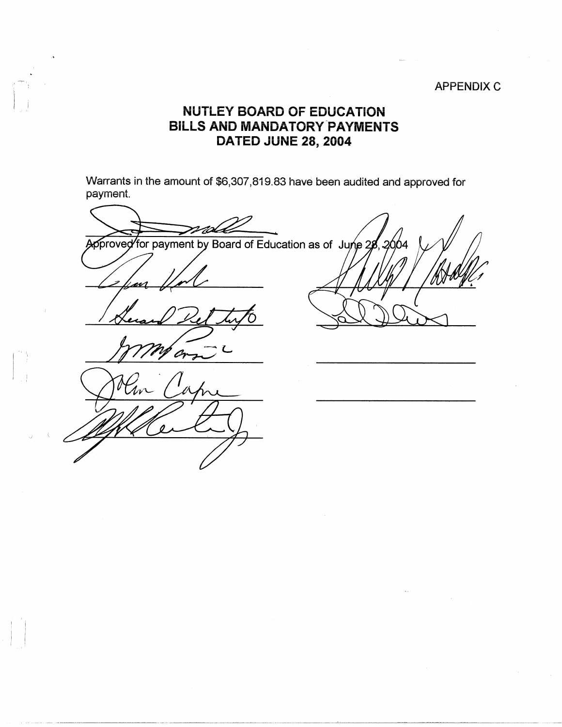## APPENDIX C

## **NUTLEY BOARD OF EDUCATION BILLS AND MANDATORY-PAYMENTS DATED JUNE 28, 2004**

 $\vert \cdot \vert$ 

 $\mathbb{I}$  ,  $\mathbb{I}$ I Warrants in the amount of \$6,307,819.83 have been audited and approved for payment.

pproved for payment by Board of Education as of June 28 2664 Or Zw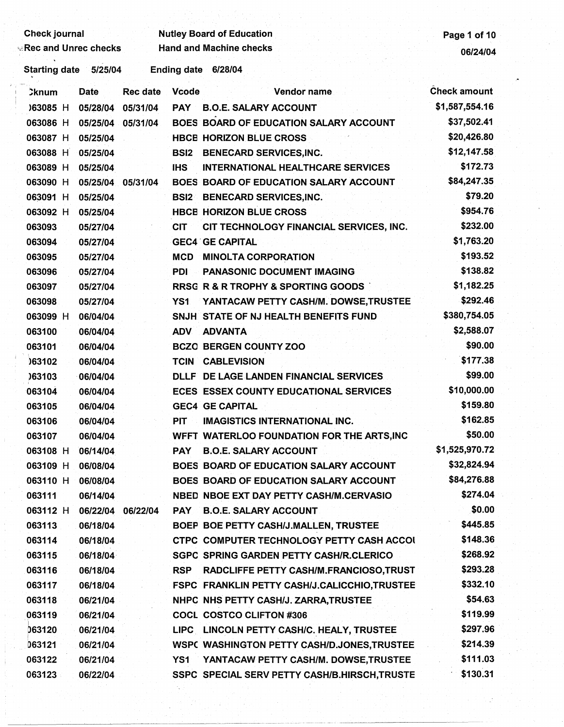## **Check journal Check is a contract of Contract Check is a contract of Check is a contract of the Page 1 of 10** Figure 2.1 All the checks checks Hand and Machine checks of the check of the check of  $06/24/04$

Starting date 5/25/04 Ending date 6/28/04

| <b>Cknum</b> | Date     | <b>Rec date</b> | <b>Vcode</b> | Vendor name                                       | <b>Check amount</b> |
|--------------|----------|-----------------|--------------|---------------------------------------------------|---------------------|
| )63085 H     | 05/28/04 | 05/31/04        | <b>PAY</b>   | <b>B.O.E. SALARY ACCOUNT</b>                      | \$1,587,554.16      |
| 063086 H     | 05/25/04 | 05/31/04        |              | BOES BOARD OF EDUCATION SALARY ACCOUNT            | \$37,502.41         |
| 063087 H     | 05/25/04 |                 |              | <b>HBCE HORIZON BLUE CROSS</b>                    | \$20,426.80         |
| 063088 H     | 05/25/04 |                 | <b>BSI2</b>  | <b>BENECARD SERVICES, INC.</b>                    | \$12,147.58         |
| 063089 H     | 05/25/04 |                 | <b>IHS</b>   | <b>INTERNATIONAL HEALTHCARE SERVICES</b>          | \$172.73            |
| 063090 H     | 05/25/04 | 05/31/04        |              | <b>BOES BOARD OF EDUCATION SALARY ACCOUNT</b>     | \$84,247.35         |
| 063091 H     | 05/25/04 |                 | <b>BSI2</b>  | <b>BENECARD SERVICES, INC.</b>                    | \$79.20             |
| 063092 H     | 05/25/04 |                 |              | <b>HBCE HORIZON BLUE CROSS</b>                    | \$954.76            |
| 063093       | 05/27/04 |                 | <b>CIT</b>   | CIT TECHNOLOGY FINANCIAL SERVICES, INC.           | \$232.00            |
| 063094       | 05/27/04 |                 |              | <b>GEC4 GE CAPITAL</b>                            | \$1,763.20          |
| 063095       | 05/27/04 |                 | <b>MCD</b>   | <b>MINOLTA CORPORATION</b>                        | \$193.52            |
| 063096       | 05/27/04 |                 | PDI          | <b>PANASONIC DOCUMENT IMAGING</b>                 | \$138.82            |
| 063097       | 05/27/04 |                 |              | <b>RRSG R &amp; R TROPHY &amp; SPORTING GOODS</b> | \$1,182.25          |
| 063098       | 05/27/04 |                 | YS1          | YANTACAW PETTY CASH/M. DOWSE, TRUSTEE             | \$292.46            |
| 063099 H     | 06/04/04 |                 |              | SNJH STATE OF NJ HEALTH BENEFITS FUND             | \$380,754.05        |
| 063100       | 06/04/04 |                 | <b>ADV</b>   | <b>ADVANTA</b>                                    | \$2,588.07          |
| 063101       | 06/04/04 |                 |              | <b>BCZO BERGEN COUNTY ZOO</b>                     | \$90.00             |
| 063102       | 06/04/04 |                 | <b>TCIN</b>  | <b>CABLEVISION</b>                                | \$177.38            |
| 063103       | 06/04/04 |                 |              | DLLF DE LAGE LANDEN FINANCIAL SERVICES            | \$99.00             |
| 063104       | 06/04/04 |                 |              | <b>ECES ESSEX COUNTY EDUCATIONAL SERVICES</b>     | \$10,000.00         |
| 063105       | 06/04/04 |                 |              | <b>GEC4 GE CAPITAL</b>                            | \$159.80            |
| 063106       | 06/04/04 |                 | <b>PIT</b>   | <b>IMAGISTICS INTERNATIONAL INC.</b>              | \$162.85            |
| 063107       | 06/04/04 |                 |              | WFFT WATERLOO FOUNDATION FOR THE ARTS, INC        | \$50.00             |
| 063108 H     | 06/14/04 |                 | <b>PAY</b>   | <b>B.O.E. SALARY ACCOUNT</b>                      | \$1,525,970.72      |
| 063109 H     | 06/08/04 |                 |              | BOES BOARD OF EDUCATION SALARY ACCOUNT            | \$32,824.94         |
| 063110 H     | 06/08/04 |                 |              | BOES BOARD OF EDUCATION SALARY ACCOUNT            | \$84,276.88         |
| 063111       | 06/14/04 |                 |              | NBED NBOE EXT DAY PETTY CASH/M.CERVASIO           | \$274.04            |
| 063112 H     | 06/22/04 | 06/22/04        | <b>PAY</b>   | <b>B.O.E. SALARY ACCOUNT</b>                      | \$0.00              |
| 063113       | 06/18/04 |                 |              | BOEP BOE PETTY CASH/J.MALLEN, TRUSTEE             | \$445.85            |
| 063114       | 06/18/04 |                 |              | CTPC COMPUTER TECHNOLOGY PETTY CASH ACCOL         | \$148.36            |
| 063115       | 06/18/04 |                 |              | SGPC SPRING GARDEN PETTY CASH/R.CLERICO           | \$268.92            |
| 063116       | 06/18/04 |                 | <b>RSP</b>   | RADCLIFFE PETTY CASH/M.FRANCIOSO,TRUST            | \$293.28            |
| 063117       | 06/18/04 |                 |              | FSPC FRANKLIN PETTY CASH/J.CALICCHIO,TRUSTEE      | \$332.10            |
| 063118       | 06/21/04 |                 |              | NHPC NHS PETTY CASH/J. ZARRA, TRUSTEE             | \$54.63             |
| 063119       | 06/21/04 |                 |              | <b>COCL COSTCO CLIFTON #306</b>                   | \$119.99            |
| 063120       | 06/21/04 |                 |              | LIPC LINCOLN PETTY CASH/C. HEALY, TRUSTEE         | \$297.96            |
| 063121       | 06/21/04 |                 |              | WSPC WASHINGTON PETTY CASH/D.JONES, TRUSTEE       | \$214.39            |
| 063122       | 06/21/04 |                 | YS1          | YANTACAW PETTY CASH/M. DOWSE, TRUSTEE             | \$111.03            |
| 063123       | 06/22/04 |                 |              | SSPC SPECIAL SERV PETTY CASH/B.HIRSCH,TRUSTE      | \$130.31            |
|              |          |                 |              |                                                   |                     |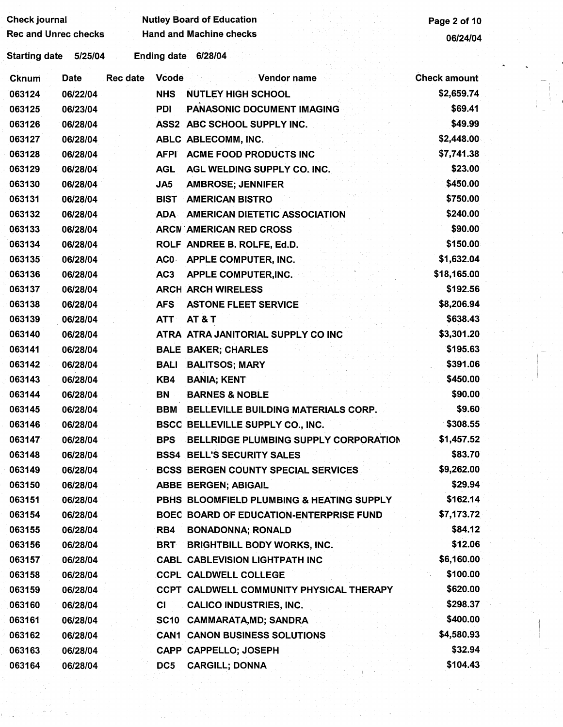| <b>Check journal</b>        |             |                 |                    | <b>Nutley Board of Education</b>           | Page 2 of 10        |  |
|-----------------------------|-------------|-----------------|--------------------|--------------------------------------------|---------------------|--|
| <b>Rec and Unrec checks</b> |             |                 |                    | <b>Hand and Machine checks</b>             | 06/24/04            |  |
| Starting date 5/25/04       |             |                 | <b>Ending date</b> | 6/28/04                                    |                     |  |
| <b>Cknum</b>                | <b>Date</b> | <b>Rec date</b> | <b>Vcode</b>       | Vendor name                                | <b>Check amount</b> |  |
| 063124                      | 06/22/04    |                 | <b>NHS</b>         | <b>NUTLEY HIGH SCHOOL</b>                  | \$2,659.74          |  |
| 063125                      | 06/23/04    |                 | <b>PDI</b>         | PANASONIC DOCUMENT IMAGING                 | \$69.41             |  |
| 063126                      | 06/28/04    |                 |                    | ASS2 ABC SCHOOL SUPPLY INC.                | \$49.99             |  |
| 063127                      | 06/28/04    |                 |                    | ABLC ABLECOMM, INC.                        | \$2,448.00          |  |
| 063128                      | 06/28/04    |                 | <b>AFPI</b>        | <b>ACME FOOD PRODUCTS INC</b>              | \$7,741.38          |  |
| 063129                      | 06/28/04    |                 | <b>AGL</b>         | AGL WELDING SUPPLY CO. INC.                | \$23.00             |  |
| 063130                      | 06/28/04    |                 | JA5                | <b>AMBROSE; JENNIFER</b>                   | \$450.00            |  |
| 063131                      | 06/28/04    |                 | <b>BIST</b>        | <b>AMERICAN BISTRO</b>                     | \$750.00            |  |
| 063132                      | 06/28/04    |                 | ADA                | <b>AMERICAN DIETETIC ASSOCIATION</b>       | \$240.00            |  |
| 063133                      | 06/28/04    |                 |                    | <b>ARCN AMERICAN RED CROSS</b>             | \$90.00             |  |
| 063134                      | 06/28/04    |                 |                    | ROLF ANDREE B. ROLFE, Ed.D.                | \$150.00            |  |
| 063135                      | 06/28/04    |                 | AC0.               | <b>APPLE COMPUTER, INC.</b>                | \$1,632.04          |  |
| 063136                      | 06/28/04    |                 | AC <sub>3</sub>    | <b>APPLE COMPUTER, INC.</b>                | \$18,165.00         |  |
| 063137                      | 06/28/04    |                 |                    | <b>ARCH ARCH WIRELESS</b>                  | \$192.56            |  |
| 063138                      | 06/28/04    |                 | <b>AFS</b>         | <b>ASTONE FLEET SERVICE</b>                | \$8,206.94          |  |
| 063139                      | 06/28/04    |                 | <b>ATT</b>         | <b>AT &amp; T</b>                          | \$638.43            |  |
| 063140                      | 06/28/04    |                 |                    | ATRA ATRA JANITORIAL SUPPLY CO INC         | \$3,301.20          |  |
| 063141                      | 06/28/04    |                 |                    | <b>BALE BAKER; CHARLES</b>                 | \$195.63            |  |
| 063142                      | 06/28/04    |                 | BALI               | <b>BALITSOS; MARY</b>                      | \$391.06            |  |
| 063143                      | 06/28/04    |                 | KB4                | <b>BANIA; KENT</b>                         | \$450.00            |  |
| 063144                      | 06/28/04    |                 | BN                 | <b>BARNES &amp; NOBLE</b>                  | \$90.00             |  |
| 063145                      | 06/28/04    |                 | BBM                | BELLEVILLE BUILDING MATERIALS CORP.        | \$9.60              |  |
| 063146                      | 06/28/04    |                 |                    | <b>BSCC BELLEVILLE SUPPLY CO., INC.</b>    | \$308.55            |  |
| 063147                      | 06/28/04    |                 | <b>BPS</b>         | BELLRIDGE PLUMBING SUPPLY CORPORATION      | \$1,457.52          |  |
| 063148                      | 06/28/04    |                 |                    | <b>BSS4 BELL'S SECURITY SALES</b>          | \$83.70             |  |
| 063149                      | 06/28/04    |                 |                    | <b>BCSS BERGEN COUNTY SPECIAL SERVICES</b> | \$9,262.00          |  |
| 063150                      | 06/28/04    |                 |                    | <b>ABBE BERGEN; ABIGAIL</b>                | \$29.94             |  |
| 063151                      | 06/28/04    |                 |                    | PBHS BLOOMFIELD PLUMBING & HEATING SUPPLY  | \$162.14            |  |
| 063154                      | 06/28/04    |                 |                    | BOEC BOARD OF EDUCATION-ENTERPRISE FUND    | \$7,173.72          |  |
| 063155                      | 06/28/04    |                 | RB4                | <b>BONADONNA; RONALD</b>                   | \$84.12             |  |
| 063156                      | 06/28/04    |                 | <b>BRT</b>         | <b>BRIGHTBILL BODY WORKS, INC.</b>         | \$12.06             |  |
| 063157                      | 06/28/04    |                 |                    | <b>CABL CABLEVISION LIGHTPATH INC</b>      | \$6,160.00          |  |
| 063158                      | 06/28/04    |                 |                    | <b>CCPL CALDWELL COLLEGE</b>               | \$100.00            |  |
| 063159                      | 06/28/04    |                 |                    | CCPT CALDWELL COMMUNITY PHYSICAL THERAPY   | \$620.00            |  |
| 063160                      | 06/28/04    |                 | CI                 | <b>CALICO INDUSTRIES, INC.</b>             | \$298.37            |  |
| 063161                      | 06/28/04    |                 | SC10               | <b>CAMMARATA, MD; SANDRA</b>               | \$400.00            |  |
| 063162                      | 06/28/04    |                 |                    | <b>CAN1 CANON BUSINESS SOLUTIONS</b>       | \$4,580.93          |  |
| 063163                      | 06/28/04    |                 |                    | CAPP CAPPELLO; JOSEPH                      | \$32.94             |  |
| 063164                      | 06/28/04    |                 | DC5                | <b>CARGILL; DONNA</b>                      | \$104.43            |  |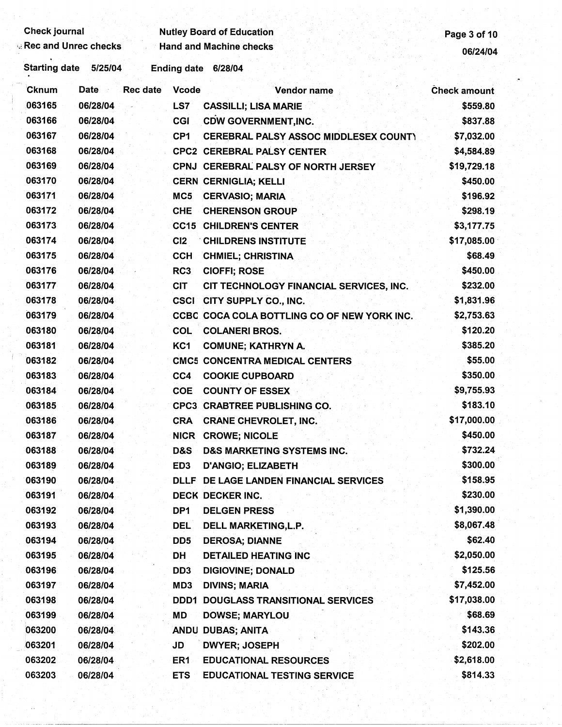| Check journal |  |
|---------------|--|
|               |  |

Check journal **Check in the Check of Education** Page 3 of 10<br>Rec and Unrec checks Hand and Machine checks **Page 3 of 10** Hand and Machine checks 06/24/04

Starting date 5/25/04 Ending date 6/28/04

| Cknum  | Date<br><b>Rec</b> date<br>in pr | <b>Vcode</b>    | Vendor name                                  | <b>Check amount</b> |
|--------|----------------------------------|-----------------|----------------------------------------------|---------------------|
| 063165 | 06/28/04                         | LS7             | <b>CASSILLI; LISA MARIE</b>                  | \$559.80            |
| 063166 | 06/28/04                         | CGI             | <b>CDW GOVERNMENT, INC.</b>                  | \$837.88            |
| 063167 | 06/28/04                         | CP <sub>1</sub> | <b>CEREBRAL PALSY ASSOC MIDDLESEX COUNTY</b> | \$7,032.00          |
| 063168 | 06/28/04                         |                 | <b>CPC2 CEREBRAL PALSY CENTER</b>            | \$4,584.89          |
| 063169 | 06/28/04                         |                 | CPNJ CEREBRAL PALSY OF NORTH JERSEY          | \$19,729.18         |
| 063170 | 06/28/04                         |                 | <b>CERN CERNIGLIA; KELLI</b>                 | \$450.00            |
| 063171 | 06/28/04                         | MC <sub>5</sub> | <b>CERVASIO; MARIA</b>                       | \$196.92            |
| 063172 | 06/28/04                         | <b>CHE</b>      | <b>CHERENSON GROUP</b>                       | \$298.19            |
| 063173 | 06/28/04                         |                 | <b>CC15 CHILDREN'S CENTER</b>                | \$3,177.75          |
| 063174 | 06/28/04                         | C <sub>12</sub> | <b>CHILDRENS INSTITUTE</b>                   | \$17,085.00         |
| 063175 | 06/28/04                         | <b>CCH</b>      | <b>CHMIEL; CHRISTINA</b>                     | \$68.49             |
| 063176 | 06/28/04                         | RC3             | <b>CIOFFI; ROSE</b>                          | \$450.00            |
| 063177 | 06/28/04                         | <b>CIT</b>      | CIT TECHNOLOGY FINANCIAL SERVICES, INC.      | \$232.00            |
| 063178 | 06/28/04                         |                 | <b>CSCI CITY SUPPLY CO., INC.</b>            | \$1,831.96          |
| 063179 | 06/28/04                         |                 | CCBC COCA COLA BOTTLING CO OF NEW YORK INC.  | \$2,753.63          |
| 063180 | 06/28/04                         | <b>COL</b>      | <b>COLANERI BROS.</b>                        | \$120.20            |
| 063181 | 06/28/04                         | KC1             | <b>COMUNE; KATHRYN A.</b>                    | \$385.20            |
| 063182 | 06/28/04                         |                 | <b>CMC5 CONCENTRA MEDICAL CENTERS</b>        | \$55.00             |
| 063183 | 06/28/04                         | CC4             | <b>COOKIE CUPBOARD</b>                       | \$350.00            |
| 063184 | 06/28/04                         | <b>COE</b>      | <b>COUNTY OF ESSEX</b>                       | \$9,755.93          |
| 063185 | 06/28/04                         |                 | <b>CPC3 CRABTREE PUBLISHING CO.</b>          | \$183.10            |
| 063186 | 06/28/04                         | <b>CRA</b>      | <b>CRANE CHEVROLET, INC.</b>                 | \$17,000.00         |
| 063187 | 06/28/04                         | <b>NICR</b>     | <b>CROWE; NICOLE</b>                         | \$450.00            |
| 063188 | 06/28/04                         | D&S             | <b>D&amp;S MARKETING SYSTEMS INC.</b>        | \$732.24            |
| 063189 | 06/28/04                         | ED <sub>3</sub> | <b>D'ANGIO; ELIZABETH</b>                    | \$300.00            |
| 063190 | 06/28/04                         |                 | DLLF DE LAGE LANDEN FINANCIAL SERVICES       | \$158.95            |
| 063191 | 06/28/04                         |                 | DECK DECKER INC.                             | \$230.00            |
| 063192 | 06/28/04                         | DP1             | <b>DELGEN PRESS</b>                          | \$1,390.00          |
| 063193 | 06/28/04                         | <b>DEL</b>      | DELL MARKETING, L.P.                         | \$8,067.48          |
| 063194 | 06/28/04                         | DD <sub>5</sub> | <b>DEROSA; DIANNE</b>                        | \$62.40             |
| 063195 | 06/28/04                         | DH              | <b>DETAILED HEATING INC</b>                  | \$2,050.00          |
| 063196 | 06/28/04                         | DD <sub>3</sub> | <b>DIGIOVINE; DONALD</b>                     | \$125.56            |
| 063197 | 06/28/04                         | MD3             | <b>DIVINS; MARIA</b>                         | \$7,452.00          |
| 063198 | 06/28/04                         |                 | <b>DDD1 DOUGLASS TRANSITIONAL SERVICES</b>   | \$17,038.00         |
| 063199 | 06/28/04                         | MD              | <b>DOWSE; MARYLOU</b>                        | \$68.69             |
| 063200 | 06/28/04                         |                 | ANDU DUBAS; ANITA                            | \$143.36            |
| 063201 | 06/28/04                         | JD              | <b>DWYER; JOSEPH</b>                         | \$202.00            |
| 063202 | 06/28/04                         | ER <sub>1</sub> | <b>EDUCATIONAL RESOURCES</b>                 | \$2,618.00          |
| 063203 | 06/28/04                         | <b>ETS</b>      | <b>EDUCATIONAL TESTING SERVICE</b>           | \$814.33            |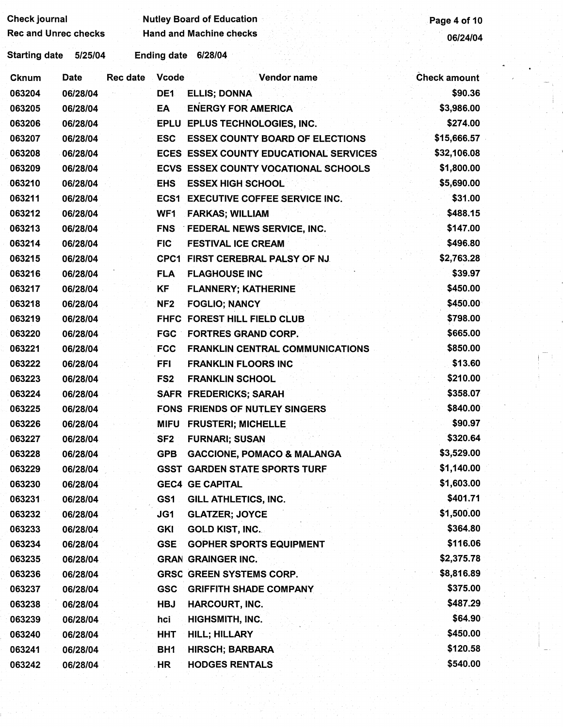| Check journal               |          |          |                    | <b>Nutley Board of Education</b>              | Page 4 of 10        |
|-----------------------------|----------|----------|--------------------|-----------------------------------------------|---------------------|
| <b>Rec and Unrec checks</b> |          |          |                    | <b>Hand and Machine checks</b>                | 06/24/04            |
| Starting date 5/25/04       |          |          | <b>Ending date</b> | 6/28/04                                       |                     |
| <b>Cknum</b>                | Date     | Rec date | <b>Vcode</b>       | Vendor name                                   | <b>Check amount</b> |
| 063204                      | 06/28/04 |          | DE <sub>1</sub>    | <b>ELLIS; DONNA</b>                           | \$90.36             |
| 063205                      | 06/28/04 |          | EA                 | <b>ENERGY FOR AMERICA</b>                     | \$3,986.00          |
| 063206                      | 06/28/04 |          |                    | EPLU EPLUS TECHNOLOGIES, INC.                 | \$274.00            |
| 063207                      | 06/28/04 |          | <b>ESC</b>         | <b>ESSEX COUNTY BOARD OF ELECTIONS</b>        | \$15,666.57         |
| 063208                      | 06/28/04 |          |                    | <b>ECES ESSEX COUNTY EDUCATIONAL SERVICES</b> | \$32,106.08         |
| 063209                      | 06/28/04 |          |                    | ECVS ESSEX COUNTY VOCATIONAL SCHOOLS          | \$1,800.00          |
| 063210                      | 06/28/04 |          | <b>EHS</b>         | <b>ESSEX HIGH SCHOOL</b>                      | \$5,690.00          |
| 063211                      | 06/28/04 |          |                    | <b>ECS1 EXECUTIVE COFFEE SERVICE INC.</b>     | \$31.00             |
| 063212                      | 06/28/04 |          | WF <sub>1</sub>    | <b>FARKAS; WILLIAM</b>                        | \$488.15            |
| 063213                      | 06/28/04 |          | <b>FNS</b>         | <b>FEDERAL NEWS SERVICE, INC.</b>             | \$147.00            |
| 063214                      | 06/28/04 |          | <b>FIC</b>         | <b>FESTIVAL ICE CREAM</b>                     | \$496.80            |
| 063215                      | 06/28/04 |          |                    | CPC1 FIRST CEREBRAL PALSY OF NJ.              | \$2,763.28          |
| 063216                      | 06/28/04 |          | <b>FLA</b>         | <b>FLAGHOUSE INC</b>                          | \$39.97             |
| 063217                      | 06/28/04 |          | KF                 | <b>FLANNERY; KATHERINE</b>                    | \$450.00            |
| 063218                      | 06/28/04 |          | NF <sub>2</sub>    | <b>FOGLIO; NANCY</b>                          | \$450.00            |
| 063219                      | 06/28/04 |          |                    | FHFC FOREST HILL FIELD CLUB                   | \$798.00            |
| 063220                      | 06/28/04 |          | <b>FGC</b>         | <b>FORTRES GRAND CORP.</b>                    | \$665.00            |
| 063221                      | 06/28/04 |          | <b>FCC</b>         | <b>FRANKLIN CENTRAL COMMUNICATIONS</b>        | \$850.00            |
| 063222                      | 06/28/04 |          | <b>FFI</b>         | <b>FRANKLIN FLOORS INC</b>                    | \$13.60             |
| 063223                      | 06/28/04 |          | FS <sub>2</sub>    | <b>FRANKLIN SCHOOL</b>                        | \$210.00            |
| 063224                      | 06/28/04 |          |                    | <b>SAFR FREDERICKS; SARAH</b>                 | \$358.07            |
| 063225                      | 06/28/04 |          |                    | FONS FRIENDS OF NUTLEY SINGERS                | \$840.00            |
| 063226                      | 06/28/04 |          |                    | MIFU FRUSTERI; MICHELLE                       | \$90.97             |
| 063227                      | 06/28/04 |          | SF <sub>2</sub>    | <b>FURNARI; SUSAN</b>                         | \$320.64            |
| 063228                      | 06/28/04 |          | <b>GPB</b>         | <b>GACCIONE, POMACO &amp; MALANGA</b>         | \$3,529.00          |
| 063229                      | 06/28/04 |          |                    | <b>GSST GARDEN STATE SPORTS TURF</b>          | \$1,140.00          |
| 063230                      | 06/28/04 |          |                    | <b>GEC4 GE CAPITAL</b>                        | \$1,603.00          |
| 063231                      | 06/28/04 |          | GS1                | GILL ATHLETICS, INC.                          | \$401.71            |
| 063232                      | 06/28/04 |          | JG1                | <b>GLATZER; JOYCE</b>                         | \$1,500.00          |
| 063233                      | 06/28/04 |          | <b>GKI</b>         | <b>GOLD KIST, INC.</b>                        | \$364.80            |
| 063234                      | 06/28/04 |          | <b>GSE</b>         | <b>GOPHER SPORTS EQUIPMENT</b>                | \$116.06            |
| 063235                      | 06/28/04 |          |                    | <b>GRAN GRAINGER INC.</b>                     | \$2,375.78          |
| 063236                      | 06/28/04 |          |                    | <b>GRSC GREEN SYSTEMS CORP.</b>               | \$8,816.89          |
| 063237                      | 06/28/04 |          | <b>GSC</b>         | <b>GRIFFITH SHADE COMPANY</b>                 | \$375.00            |
| 063238                      | 06/28/04 |          | <b>HBJ</b>         | <b>HARCOURT, INC.</b>                         | \$487.29            |
| 063239                      | 06/28/04 |          | hci                | HIGHSMITH, INC.                               | \$64.90             |
| 063240                      | 06/28/04 |          | <b>HHT</b>         | <b>HILL; HILLARY</b>                          | \$450.00            |
| 063241                      | 06/28/04 |          | BH <sub>1</sub>    | <b>HIRSCH; BARBARA</b>                        | \$120.58            |
| 063242                      | 06/28/04 |          | HR                 | <b>HODGES RENTALS</b>                         | \$540.00            |

 $\mathbf{I} = \mathbf{I}$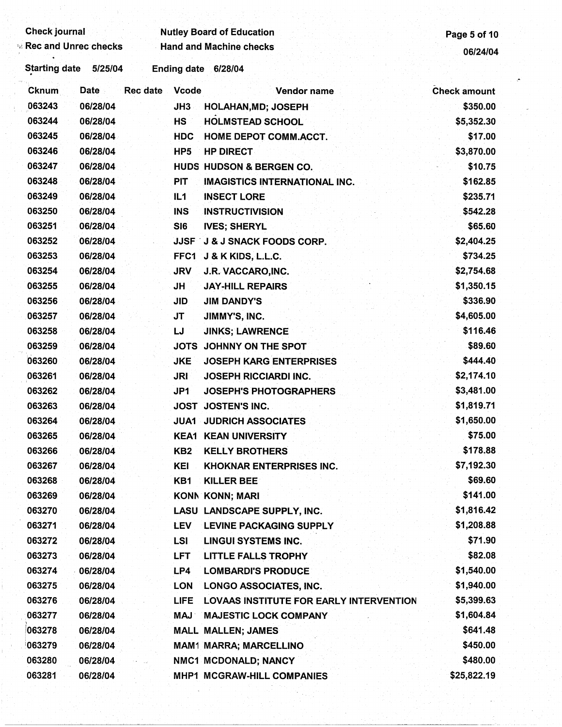| <b>Check journal</b>        |             |                 |                    | <b>Nutley Board of Education</b>               | Page 5 of 10        |
|-----------------------------|-------------|-----------------|--------------------|------------------------------------------------|---------------------|
| <b>Rec and Unrec checks</b> |             |                 |                    | <b>Hand and Machine checks</b>                 | 06/24/04            |
| <b>Starting date</b>        | 5/25/04     |                 | <b>Ending date</b> | 6/28/04                                        |                     |
| Cknum                       | <b>Date</b> | <b>Rec date</b> | <b>Vcode</b>       | Vendor name                                    | <b>Check amount</b> |
| 063243                      | 06/28/04    |                 | JH3                | <b>HOLAHAN, MD; JOSEPH</b>                     | \$350.00            |
| 063244                      | 06/28/04    |                 | <b>HS</b>          | <b>HOLMSTEAD SCHOOL</b>                        | \$5,352.30          |
| 063245                      | 06/28/04    |                 | <b>HDC</b>         | HOME DEPOT COMM.ACCT.                          | \$17.00             |
| 063246                      | 06/28/04    |                 | HP <sub>5</sub>    | <b>HP DIRECT</b>                               | \$3,870.00          |
| 063247                      | 06/28/04    |                 |                    | <b>HUDS HUDSON &amp; BERGEN CO.</b>            | \$10.75             |
| 063248                      | 06/28/04    |                 | <b>PIT</b>         | <b>IMAGISTICS INTERNATIONAL INC.</b>           | \$162.85            |
| 063249                      | 06/28/04    |                 | IL1                | <b>INSECT LORE</b>                             | \$235.71            |
| 063250                      | 06/28/04    |                 | <b>INS</b>         | <b>INSTRUCTIVISION</b>                         | \$542.28            |
| 063251                      | 06/28/04    |                 | SI6                | <b>IVES; SHERYL</b>                            | \$65.60             |
| 063252                      | 06/28/04    |                 |                    | <b>JJSF J &amp; J SNACK FOODS CORP.</b>        | \$2,404.25          |
| 063253                      | 06/28/04    |                 | FFC1               | J & K KIDS, L.L.C.                             | \$734.25            |
| 063254                      | 06/28/04    |                 | <b>JRV</b>         | J.R. VACCARO, INC.                             | \$2,754.68          |
| 063255                      | 06/28/04    |                 | <b>JH</b>          | <b>JAY-HILL REPAIRS</b>                        | \$1,350.15          |
| 063256                      | 06/28/04    |                 | <b>JID</b>         | <b>JIM DANDY'S</b>                             | \$336.90            |
| 063257                      | 06/28/04    |                 | <b>JT</b>          | JIMMY'S, INC.                                  | \$4,605.00          |
| 063258                      | 06/28/04    |                 | IJ                 | <b>JINKS; LAWRENCE</b>                         | \$116.46            |
| 063259                      | 06/28/04    |                 | <b>JOTS</b>        | JOHNNY ON THE SPOT                             | \$89.60             |
| 063260                      | 06/28/04    |                 | <b>JKE</b>         | <b>JOSEPH KARG ENTERPRISES</b>                 | \$444.40            |
| 063261                      | 06/28/04    |                 | <b>JRI</b>         | <b>JOSEPH RICCIARDI INC.</b>                   | \$2,174.10          |
| 063262                      | 06/28/04    |                 | JP1                | <b>JOSEPH'S PHOTOGRAPHERS</b>                  | \$3,481.00          |
| 063263                      | 06/28/04    |                 | <b>JOST</b>        | <b>JOSTEN'S INC.</b>                           | \$1,819.71          |
| 063264                      | 06/28/04    |                 | JUA1 -             | <b>JUDRICH ASSOCIATES</b>                      | \$1,650.00          |
| 063265                      | 06/28/04    |                 |                    | <b>KEA1 KEAN UNIVERSITY</b>                    | \$75.00             |
| 063266                      | 06/28/04    |                 | KB <sub>2</sub>    | <b>KELLY BROTHERS</b>                          | \$178.88            |
| 063267                      | 06/28/04    |                 | KEI                | <b>KHOKNAR ENTERPRISES INC.</b>                | \$7,192.30          |
| 063268                      | 06/28/04    |                 | KB1                | <b>KILLER BEE</b>                              | \$69.60             |
| 063269                      | 06/28/04    |                 |                    | <b>KONN KONN; MARI</b>                         | \$141.00            |
| 063270                      | 06/28/04    |                 |                    | LASU LANDSCAPE SUPPLY, INC.                    | \$1,816.42          |
| 063271                      | 06/28/04    |                 | <b>LEV</b>         | <b>LEVINE PACKAGING SUPPLY</b>                 | \$1,208.88          |
| 063272                      | 06/28/04    |                 | <b>LSI</b>         | <b>LINGUI SYSTEMS INC.</b>                     | \$71.90             |
| 063273                      | 06/28/04    |                 | <b>LFT</b>         | <b>LITTLE FALLS TROPHY</b>                     | \$82.08             |
| 063274                      | 06/28/04    |                 | LP4                | <b>LOMBARDI'S PRODUCE</b>                      | \$1,540.00          |
| 063275                      | 06/28/04    |                 | <b>LON</b>         | LONGO ASSOCIATES, INC.                         | \$1,940.00          |
| 063276                      | 06/28/04    |                 | <b>LIFE</b>        | <b>LOVAAS INSTITUTE FOR EARLY INTERVENTION</b> | \$5,399.63          |
| 063277                      | 06/28/04    |                 | <b>MAJ</b>         | <b>MAJESTIC LOCK COMPANY</b>                   | \$1,604.84          |
| 063278                      | 06/28/04    |                 |                    | <b>MALL MALLEN; JAMES</b>                      | \$641.48            |
| 063279                      | 06/28/04    |                 |                    | <b>MAM1 MARRA; MARCELLINO</b>                  | \$450.00            |
| 063280                      | 06/28/04    |                 |                    | NMC1 MCDONALD; NANCY                           | \$480.00            |
| 063281                      | 06/28/04    |                 |                    | MHP1 MCGRAW-HILL COMPANIES                     | \$25,822.19         |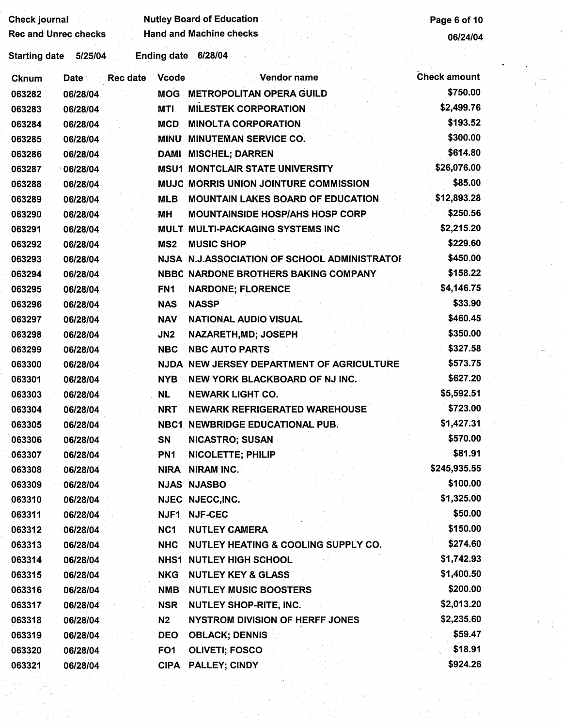| Check journal |                             |                    | <b>Nutley Board of Education</b>             | Page 6 of 10        |
|---------------|-----------------------------|--------------------|----------------------------------------------|---------------------|
|               | <b>Rec and Unrec checks</b> |                    | <b>Hand and Machine checks</b>               | 06/24/04            |
| Starting date | 5/25/04                     | <b>Ending date</b> | 6/28/04                                      |                     |
| Cknum         | <b>Rec date</b><br>Date 1   | <b>Vcode</b>       | <b>Vendor name</b>                           | <b>Check amount</b> |
| 063282        | 06/28/04                    | <b>MOG</b>         | <b>METROPOLITAN OPERA GUILD</b>              | \$750.00            |
| 063283        | 06/28/04                    | MTI                | <b>MILESTEK CORPORATION</b>                  | \$2,499.76          |
| 063284        | 06/28/04                    | <b>MCD</b>         | <b>MINOLTA CORPORATION</b>                   | \$193.52            |
| 063285        | 06/28/04                    | MINU               | <b>MINUTEMAN SERVICE CO.</b>                 | \$300.00            |
| 063286        | 06/28/04                    | DAMI               | <b>MISCHEL; DARREN</b>                       | \$614.80            |
| 063287        | $^{\circ}$ 06/28/04         |                    | <b>MSU1 MONTCLAIR STATE UNIVERSITY</b>       | \$26,076.00         |
| 063288        | 06/28/04                    |                    | MUJC MORRIS UNION JOINTURE COMMISSION        | \$85.00             |
| 063289        | 06/28/04                    | <b>MLB</b>         | <b>MOUNTAIN LAKES BOARD OF EDUCATION</b>     | \$12,893.28         |
| 063290        | 06/28/04                    | МH                 | <b>MOUNTAINSIDE HOSP/AHS HOSP CORP</b>       | \$250.56            |
| 063291        | 06/28/04                    |                    | MULT MULTI-PACKAGING SYSTEMS INC             | \$2,215.20          |
| 063292        | 06/28/04                    | MS <sub>2</sub>    | <b>MUSIC SHOP</b>                            | \$229.60            |
| 063293        | 06/28/04                    |                    | NJSA N.J.ASSOCIATION OF SCHOOL ADMINISTRATOR | \$450.00            |
| 063294        | 06/28/04                    |                    | NBBC NARDONE BROTHERS BAKING COMPANY         | \$158.22            |
| 063295        | 06/28/04                    | FN <sub>1</sub>    | <b>NARDONE; FLORENCE</b>                     | \$4,146.75          |
| 063296        | 06/28/04                    | <b>NAS</b>         | <b>NASSP</b>                                 | \$33.90             |
| 063297        | 06/28/04                    | <b>NAV</b>         | <b>NATIONAL AUDIO VISUAL</b>                 | \$460.45            |
| 063298        | 06/28/04                    | J <sub>N2</sub>    | NAZARETH, MD; JOSEPH                         | \$350.00            |
| 063299        | 06/28/04                    | <b>NBC</b>         | <b>NBC AUTO PARTS</b>                        | \$327.58            |
| 063300        | 06/28/04                    |                    | NJDA NEW JERSEY DEPARTMENT OF AGRICULTURE    | \$573.75            |
| 063301        | 06/28/04                    | <b>NYB</b>         | NEW YORK BLACKBOARD OF NJ INC.               | \$627.20            |
| 063303        | 06/28/04                    | <b>NL</b>          | <b>NEWARK LIGHT CO.</b>                      | \$5,592.51          |
| 063304        | 06/28/04                    | <b>NRT</b>         | <b>NEWARK REFRIGERATED WAREHOUSE</b>         | \$723.00            |
| 063305        | 06/28/04                    |                    | <b>NBC1 NEWBRIDGE EDUCATIONAL PUB.</b>       | \$1,427.31          |
| 063306        | 06/28/04                    | SN                 | <b>NICASTRO; SUSAN</b>                       | \$570.00            |
| 063307        | 06/28/04                    | PN <sub>1</sub>    | <b>NICOLETTE; PHILIP</b>                     | \$81.91             |
| 063308        | 06/28/04                    | <b>NIRA</b>        | <b>NIRAM INC.</b>                            | \$245,935.55        |
| 063309        | 06/28/04                    |                    | <b>NJAS NJASBO</b>                           | \$100.00            |
| 063310        | 06/28/04                    |                    | NJEC NJECC, INC.                             | \$1,325.00          |
| 063311        | 06/28/04                    | <b>NJF1</b>        | <b>NJF-CEC</b>                               | \$50.00             |
| 063312        | 06/28/04                    | NC <sub>1</sub>    | <b>NUTLEY CAMERA</b>                         | \$150.00            |
| 063313        | 06/28/04                    | <b>NHC</b>         | NUTLEY HEATING & COOLING SUPPLY CO.          | \$274.60            |
| 063314        | 06/28/04                    |                    | <b>NHS1 NUTLEY HIGH SCHOOL</b>               | \$1,742.93          |
| 063315        | 06/28/04                    | <b>NKG</b>         | <b>NUTLEY KEY &amp; GLASS</b>                | \$1,400.50          |
| 063316        | 06/28/04                    | <b>NMB</b>         | <b>NUTLEY MUSIC BOOSTERS</b>                 | \$200.00            |
| 063317        | 06/28/04                    | <b>NSR</b>         | <b>NUTLEY SHOP-RITE, INC.</b>                | \$2,013.20          |
| 063318        | 06/28/04                    | N <sub>2</sub>     | <b>NYSTROM DIVISION OF HERFF JONES</b>       | \$2,235.60          |
| 063319        | 06/28/04                    | <b>DEO</b>         | <b>OBLACK; DENNIS</b>                        | \$59.47             |
| 063320        | 06/28/04                    | FO <sub>1</sub>    | <b>OLIVETI; FOSCO</b>                        | \$18.91             |
| 063321        | 06/28/04                    |                    | CIPA PALLEY; CINDY                           | \$924.26            |
|               |                             |                    |                                              |                     |
|               |                             |                    |                                              |                     |

 $\frac{1}{2}$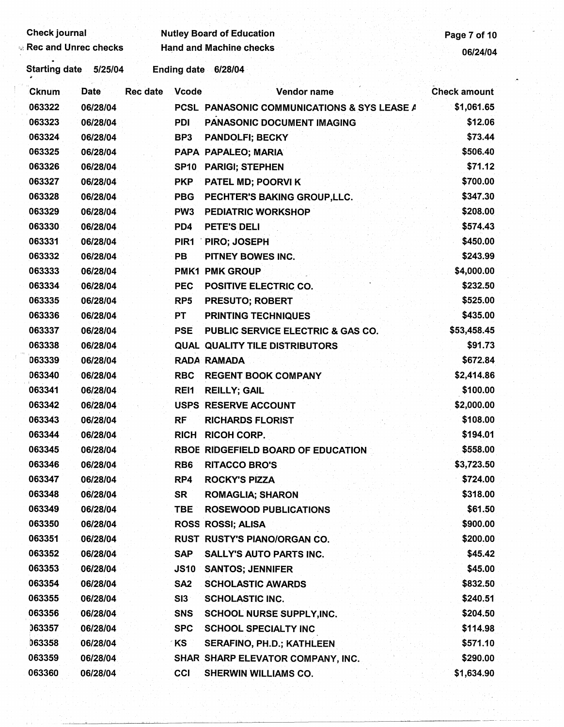| Page 7 of 10           | <b>Nutley Board of Education</b>                            |                                 | <b>Rec and Unrec checks</b> | <b>Check journal</b> |
|------------------------|-------------------------------------------------------------|---------------------------------|-----------------------------|----------------------|
| 06/24/04               | <b>Hand and Machine checks</b>                              |                                 |                             |                      |
|                        | Ending date 6/28/04                                         |                                 | 5/25/04                     | <b>Starting date</b> |
| <b>Check amount</b>    | Vendor name                                                 | <b>Rec date</b><br><b>Vcode</b> | <b>Date</b>                 | Cknum                |
| \$1,061.65             | PCSL PANASONIC COMMUNICATIONS & SYS LEASE A                 |                                 | 06/28/04                    | 063322               |
| \$12.06                | PANASONIC DOCUMENT IMAGING                                  | <b>PDI</b>                      | 06/28/04                    | 063323               |
| \$73.44                | <b>PANDOLFI; BECKY</b>                                      | BP3                             | 06/28/04                    | 063324               |
| \$506.40               | PAPA PAPALEO; MARIA                                         |                                 | 06/28/04                    | 063325               |
| \$71.12                | <b>PARIGI; STEPHEN</b>                                      | SP <sub>10</sub>                | 06/28/04                    | 063326               |
| \$700.00               | PATEL MD; POORVI K                                          | <b>PKP</b>                      | 06/28/04                    | 063327               |
| \$347.30               | PECHTER'S BAKING GROUP, LLC.                                | <b>PBG</b>                      | 06/28/04                    | 063328               |
| \$208.00               | <b>PEDIATRIC WORKSHOP</b>                                   | PW <sub>3</sub>                 | 06/28/04                    | 063329               |
| \$574.43               | PETE'S DELI                                                 | PD4                             | 06/28/04                    | 063330               |
| \$450.00               | PIRO; JOSEPH                                                | PIR <sub>1</sub>                | 06/28/04                    | 063331               |
| \$243.99               | PITNEY BOWES INC.                                           | PB                              | 06/28/04                    | 063332               |
| \$4,000.00             | <b>PMK1 PMK GROUP</b>                                       |                                 | 06/28/04                    | 063333               |
| \$232.50               | POSITIVE ELECTRIC CO.                                       | <b>PEC</b>                      | 06/28/04                    | 063334               |
| \$525.00               | PRESUTO; ROBERT                                             | RP <sub>5</sub>                 | 06/28/04                    | 063335               |
| \$435.00               | <b>PRINTING TECHNIQUES</b>                                  | <b>PT</b>                       | 06/28/04                    | 063336               |
| \$53,458.45<br>\$91.73 | <b>PUBLIC SERVICE ELECTRIC &amp; GAS CO.</b>                | <b>PSE</b>                      | 06/28/04                    | 063337<br>063338     |
| \$672.84               | <b>QUAL QUALITY TILE DISTRIBUTORS</b><br><b>RADA RAMADA</b> |                                 | 06/28/04                    | 063339               |
| \$2,414.86             | <b>REGENT BOOK COMPANY</b>                                  | <b>RBC</b>                      | 06/28/04<br>06/28/04        | 063340               |
| \$100.00               | <b>REILLY; GAIL</b>                                         | REI1                            | 06/28/04                    | 063341               |
| \$2,000.00             | <b>USPS RESERVE ACCOUNT</b>                                 |                                 | 06/28/04                    | 063342               |
| \$108.00               | <b>RICHARDS FLORIST</b>                                     | <b>RF</b>                       | 06/28/04                    | 063343               |
| \$194.01               | <b>RICOH CORP.</b>                                          | <b>RICH</b>                     | 06/28/04                    | 063344               |
| \$558.00               | RBOE RIDGEFIELD BOARD OF EDUCATION                          |                                 | 06/28/04                    | 063345               |
| \$3,723.50             | <b>RITACCO BRO'S</b>                                        | RB <sub>6</sub>                 | 06/28/04                    | 063346               |
| \$724.00               | <b>ROCKY'S PIZZA</b>                                        | RP4                             | 06/28/04                    | 063347               |
| \$318.00               | <b>ROMAGLIA; SHARON</b>                                     | SR                              | 06/28/04                    | 063348               |
| \$61.50                | <b>ROSEWOOD PUBLICATIONS</b>                                | TBE                             | 06/28/04                    | 063349               |
| \$900.00               | ROSS ROSSI; ALISA                                           |                                 | 06/28/04                    | 063350               |
| \$200.00               | RUST RUSTY'S PIANO/ORGAN CO.                                |                                 | 06/28/04                    | 063351               |
| \$45.42                | SALLY'S AUTO PARTS INC.                                     | <b>SAP</b>                      | 06/28/04                    | 063352               |
| \$45.00                | <b>SANTOS; JENNIFER</b>                                     | <b>JS10</b>                     | 06/28/04                    | 063353               |
| \$832.50               | <b>SCHOLASTIC AWARDS</b>                                    | SA <sub>2</sub>                 | 06/28/04                    | 063354               |
| \$240.51               | <b>SCHOLASTIC INC.</b>                                      | SI3                             | 06/28/04                    | 063355               |
| \$204.50               | SCHOOL NURSE SUPPLY, INC.                                   | <b>SNS</b>                      | 06/28/04                    | 063356               |
| \$114.98               | <b>SCHOOL SPECIALTY INC</b>                                 | <b>SPC</b>                      | 06/28/04                    | 063357               |
| \$571.10               | SERAFINO, PH.D.; KATHLEEN                                   | ∕ KS                            | 06/28/04                    | 063358               |
| \$290.00               | SHAR SHARP ELEVATOR COMPANY, INC.                           |                                 | 06/28/04                    | 063359               |
| \$1,634.90             | <b>SHERWIN WILLIAMS CO.</b>                                 | CCI                             | 06/28/04                    | 063360               |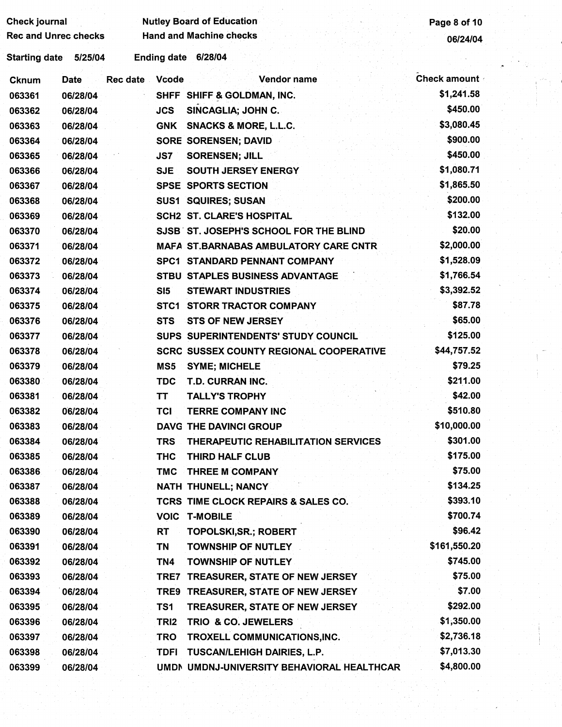| <b>Check journal</b>        |          |          |                    | <b>Nutley Board of Education</b>               | Page 8 of 10        |
|-----------------------------|----------|----------|--------------------|------------------------------------------------|---------------------|
| <b>Rec and Unrec checks</b> |          |          |                    | <b>Hand and Machine checks</b>                 | 06/24/04            |
| <b>Starting date</b>        | 5/25/04  |          | <b>Ending date</b> | 6/28/04                                        |                     |
| <b>Cknum</b>                | Date     | Rec date | <b>Vcode</b>       | Vendor name                                    | <b>Check amount</b> |
| 063361                      | 06/28/04 |          |                    | SHFF SHIFF & GOLDMAN, INC.                     | \$1,241.58          |
| 063362                      | 06/28/04 |          | <b>JCS</b>         | SINCAGLIA; JOHN C.                             | \$450.00            |
| 063363                      | 06/28/04 |          | <b>GNK</b>         | <b>SNACKS &amp; MORE, L.L.C.</b>               | \$3,080.45          |
| 063364                      | 06/28/04 |          |                    | <b>SORE SORENSEN; DAVID</b>                    | \$900.00            |
| 063365                      | 06/28/04 |          | JS7                | <b>SORENSEN; JILL</b>                          | \$450.00            |
| 063366                      | 06/28/04 |          | <b>SJE</b>         | <b>SOUTH JERSEY ENERGY</b>                     | \$1,080.71          |
| 063367                      | 06/28/04 |          |                    | <b>SPSE SPORTS SECTION</b>                     | \$1,865.50          |
| 063368                      | 06/28/04 |          |                    | <b>SUS1 SQUIRES; SUSAN</b>                     | \$200.00            |
| 063369                      | 06/28/04 |          |                    | <b>SCH2 ST. CLARE'S HOSPITAL</b>               | \$132.00            |
| 063370                      | 06/28/04 |          |                    | SJSB ST. JOSEPH'S SCHOOL FOR THE BLIND         | \$20.00             |
| 063371                      | 06/28/04 |          |                    | MAFA ST.BARNABAS AMBULATORY CARE CNTR          | \$2,000.00          |
| 063372                      | 06/28/04 |          |                    | <b>SPC1 STANDARD PENNANT COMPANY</b>           | \$1,528.09          |
| 063373                      | 06/28/04 |          |                    | <b>STBU STAPLES BUSINESS ADVANTAGE</b>         | \$1,766.54          |
| 063374                      | 06/28/04 |          | SI5                | <b>STEWART INDUSTRIES</b>                      | \$3,392.52          |
| 063375                      | 06/28/04 |          | STC1               | <b>STORR TRACTOR COMPANY</b>                   | \$87.78             |
| 063376                      | 06/28/04 |          | <b>STS</b>         | <b>STS OF NEW JERSEY</b>                       | \$65.00             |
| 063377                      | 06/28/04 |          |                    | SUPS SUPERINTENDENTS' STUDY COUNCIL            | \$125.00            |
| 063378                      | 06/28/04 |          |                    | <b>SCRC SUSSEX COUNTY REGIONAL COOPERATIVE</b> | \$44,757.52         |
| 063379                      | 06/28/04 |          | MS5                | <b>SYME; MICHELE</b>                           | \$79.25             |
| 063380                      | 06/28/04 |          | <b>TDC</b>         | <b>T.D. CURRAN INC.</b>                        | \$211.00            |
| 063381                      | 06/28/04 |          | <b>TT</b>          | <b>TALLY'S TROPHY</b>                          | \$42.00             |
| 063382                      | 06/28/04 |          | <b>TCI</b>         | <b>TERRE COMPANY INC</b>                       | \$510.80            |
| 063383                      | 06/28/04 |          |                    | DAVG THE DAVINCI GROUP                         | \$10,000.00         |
| 063384                      | 06/28/04 |          | TRS                | THERAPEUTIC REHABILITATION SERVICES            | \$301.00            |
| 063385                      | 06/28/04 |          | <b>THC</b>         | THIRD HALF CLUB                                | \$175.00            |
| 063386                      | 06/28/04 |          | <b>TMC</b>         | <b>THREE M COMPANY</b>                         | \$75.00             |
| 063387                      | 06/28/04 |          |                    | <b>NATH THUNELL; NANCY</b>                     | \$134.25            |
| 063388                      | 06/28/04 |          |                    | TCRS TIME CLOCK REPAIRS & SALES CO.            | \$393.10            |
| 063389                      | 06/28/04 |          |                    | <b>VOIC T-MOBILE</b>                           | \$700.74            |
| 063390                      | 06/28/04 |          | RT                 | <b>TOPOLSKI,SR.; ROBERT</b>                    | \$96.42             |
| 063391                      | 06/28/04 |          | TN                 | <b>TOWNSHIP OF NUTLEY</b>                      | \$161,550.20        |
| 063392                      | 06/28/04 |          | TN4                | <b>TOWNSHIP OF NUTLEY</b>                      | \$745.00            |
| 063393                      | 06/28/04 |          | TRE7               | <b>TREASURER, STATE OF NEW JERSEY</b>          | \$75.00             |
| 063394                      | 06/28/04 |          |                    | TRE9 TREASURER, STATE OF NEW JERSEY            | \$7.00              |
| 063395                      | 06/28/04 |          | TS1                | TREASURER, STATE OF NEW JERSEY                 | \$292.00            |
| 063396                      | 06/28/04 |          | TRI <sub>2</sub>   | TRIO & CO. JEWELERS                            | \$1,350.00          |
| 063397                      | 06/28/04 |          | <b>TRO</b>         | TROXELL COMMUNICATIONS, INC.                   | \$2,736.18          |
| 063398                      | 06/28/04 |          | TDFI               | TUSCAN/LEHIGH DAIRIES, L.P.                    | \$7,013.30          |
| 063399                      | 06/28/04 |          |                    | UMDN UMDNJ-UNIVERSITY BEHAVIORAL HEALTHCAR     | \$4,800.00          |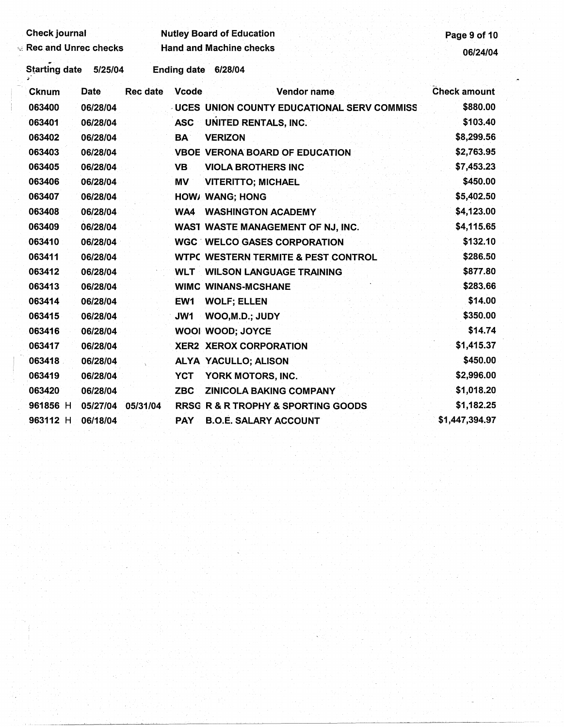| <b>Check journal</b> |             |                 |                 | <b>Nutley Board of Education</b>                  | Page 9 of 10   |
|----------------------|-------------|-----------------|-----------------|---------------------------------------------------|----------------|
| Rec and Unrec checks |             |                 |                 | <b>Hand and Machine checks</b>                    | 06/24/04       |
| <b>Starting date</b> | 5/25/04     |                 |                 | Ending date 6/28/04                               |                |
| <b>Cknum</b>         | <b>Date</b> | <b>Rec date</b> | <b>Vcode</b>    | Vendor name                                       | Check amount   |
| 063400               | 06/28/04    |                 |                 | <b>UCES UNION COUNTY EDUCATIONAL SERV COMMISS</b> | \$880.00       |
| 063401               | 06/28/04    |                 | <b>ASC</b>      | <b>UNITED RENTALS, INC.</b>                       | \$103.40       |
| 063402               | 06/28/04    |                 | <b>BA</b>       | <b>VERIZON</b>                                    | \$8,299.56     |
| 063403               | 06/28/04    |                 |                 | <b>VBOE VERONA BOARD OF EDUCATION</b>             | \$2,763.95     |
| 063405               | 06/28/04    |                 | <b>VB</b>       | <b>VIOLA BROTHERS INC</b>                         | \$7,453.23     |
| 063406               | 06/28/04    |                 | MV              | <b>VITERITTO; MICHAEL</b>                         | \$450.00       |
| 063407               | 06/28/04    |                 |                 | <b>HOW/ WANG; HONG</b>                            | \$5,402.50     |
| 063408               | 06/28/04    |                 | WA4             | <b>WASHINGTON ACADEMY</b>                         | \$4,123.00     |
| 063409               | 06/28/04    |                 |                 | WAST WASTE MANAGEMENT OF NJ, INC.                 | \$4,115.65     |
| 063410               | 06/28/04    |                 |                 | <b>WGC WELCO GASES CORPORATION</b>                | \$132.10       |
| 063411               | 06/28/04    |                 |                 | <b>WTPC WESTERN TERMITE &amp; PEST CONTROL</b>    | \$286.50       |
| 063412               | 06/28/04    |                 | <b>WLT</b>      | <b>WILSON LANGUAGE TRAINING</b>                   | \$877.80       |
| 063413               | 06/28/04    |                 |                 | <b>WIMC WINANS-MCSHANE</b>                        | \$283.66       |
| 063414               | 06/28/04    |                 | EW <sub>1</sub> | <b>WOLF; ELLEN</b>                                | \$14.00        |
| 063415               | 06/28/04    |                 | JW1             | WOO, M.D.; JUDY                                   | \$350.00       |
| 063416               | 06/28/04    |                 |                 | WOOI WOOD; JOYCE                                  | \$14.74        |
| 063417               | 06/28/04    |                 |                 | XER2 XEROX CORPORATION                            | \$1,415.37     |
| 063418               | 06/28/04    |                 |                 | ALYA YACULLO; ALISON                              | \$450.00       |
| 063419               | 06/28/04    |                 | <b>YCT</b>      | YORK MOTORS, INC.                                 | \$2,996.00     |
| 063420               | 06/28/04    |                 | <b>ZBC</b>      | <b>ZINICOLA BAKING COMPANY</b>                    | \$1,018.20     |
| 961856 H             | 05/27/04    | 05/31/04        |                 | <b>RRSG R &amp; R TROPHY &amp; SPORTING GOODS</b> | \$1,182.25     |
| 963112 H             | 06/18/04    |                 | <b>PAY</b>      | <b>B.O.E. SALARY ACCOUNT</b>                      | \$1,447,394.97 |